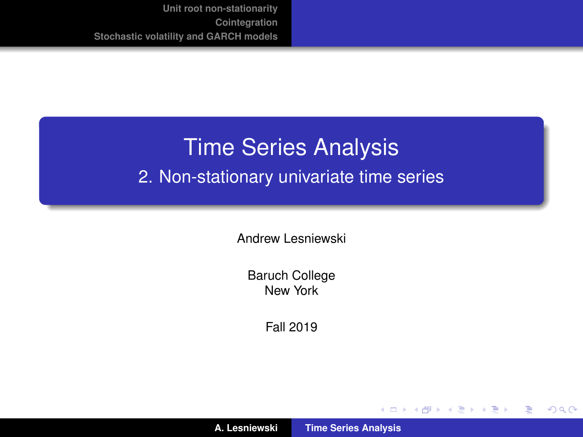# <span id="page-0-0"></span>Time Series Analysis

#### 2. Non-stationary univariate time series

Andrew Lesniewski

Baruch College New York

Fall 2019

(ロトス個) (運) (運)

 $299$ 

重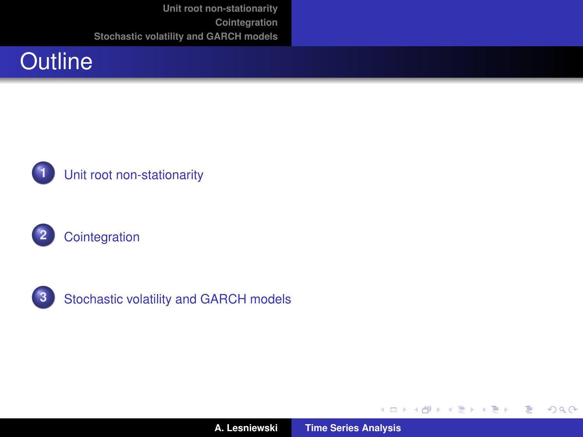







**3** [Stochastic volatility and GARCH models](#page-36-0)

(ロトス個) (運) (運)

重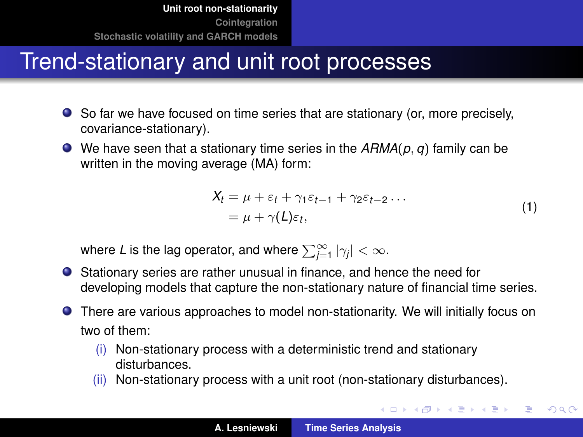# <span id="page-2-0"></span>Trend-stationary and unit root processes

- So far we have focused on time series that are stationary (or, more precisely, covariance-stationary).
- We have seen that a stationary time series in the *ARMA*(*p*, *q*) family can be written in the moving average (MA) form:

$$
X_t = \mu + \varepsilon_t + \gamma_1 \varepsilon_{t-1} + \gamma_2 \varepsilon_{t-2} \dots
$$
  
=  $\mu + \gamma(L)\varepsilon_t,$  (1)

イロメ イ団メ イヨメ イヨメー

重

 $299$ 

<span id="page-2-1"></span>where L is the lag operator, and where  $\sum_{j=1}^{\infty}|\gamma_j|<\infty.$ 

- Stationary series are rather unusual in finance, and hence the need for developing models that capture the non-stationary nature of financial time series.
- There are various approaches to model non-stationarity. We will initially focus on two of them:
	- (i) Non-stationary process with a deterministic trend and stationary disturbances.
	- (ii) Non-stationary process with a unit root (non-stationary disturbances).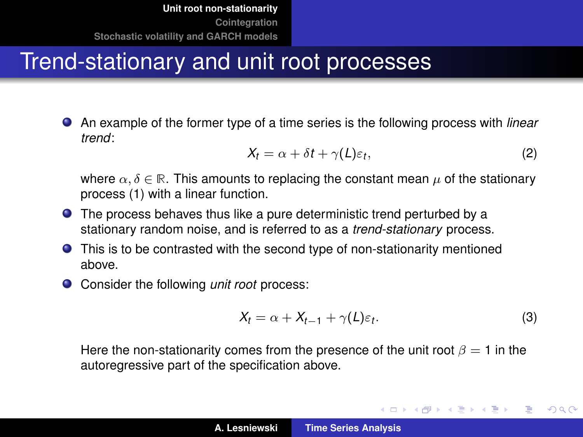# Trend-stationary and unit root processes

An example of the former type of a time series is the following process with *linear trend*:

<span id="page-3-0"></span>
$$
X_t = \alpha + \delta t + \gamma(L)\varepsilon_t, \tag{2}
$$

where  $\alpha, \delta \in \mathbb{R}$ . This amounts to replacing the constant mean  $\mu$  of the stationary process [\(1\)](#page-2-1) with a linear function.

- The process behaves thus like a pure deterministic trend perturbed by a stationary random noise, and is referred to as a *trend-stationary* process.
- This is to be contrasted with the second type of non-stationarity mentioned above.
- Consider the following *unit root* process:

<span id="page-3-1"></span>
$$
X_t = \alpha + X_{t-1} + \gamma(L)\varepsilon_t.
$$
 (3)

(ロトス個) (運) (運)

 $QQ$ 

Þ

Here the non-stationarity comes from the presence of the unit root  $\beta = 1$  in the autoregressive part of the specification above.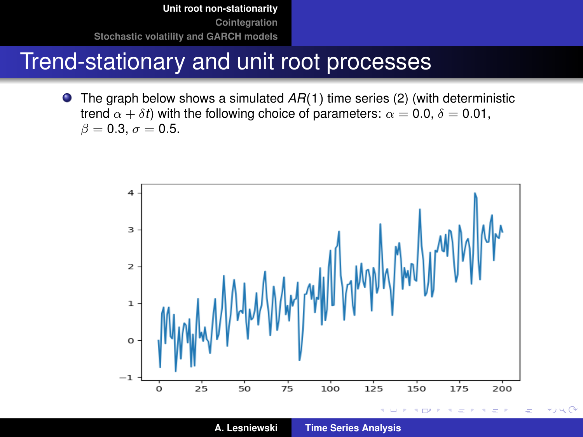#### Trend-stationary and unit root processes

The graph below shows a simulated *AR*(1) time series [\(2\)](#page-3-0) (with deterministic  $\bullet$ trend  $\alpha + \delta t$ ) with the following choice of parameters:  $\alpha = 0.0$ ,  $\delta = 0.01$ ,  $\beta = 0.3, \sigma = 0.5.$ 



**A. Lesniewski [Time Series Analysis](#page-0-0)**

 $\rightarrow$  14  $\alpha$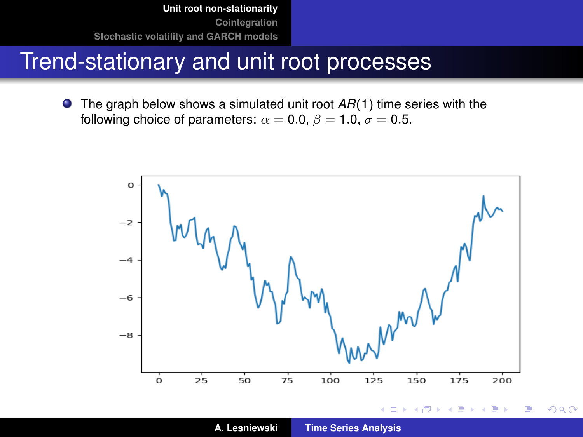#### Trend-stationary and unit root processes

● The graph below shows a simulated unit root  $AR(1)$  time series with the following choice of parameters:  $\alpha = 0.0$ ,  $\beta = 1.0$ ,  $\sigma = 0.5$ .



**A. Lesniewski [Time Series Analysis](#page-0-0)**

 $2Q$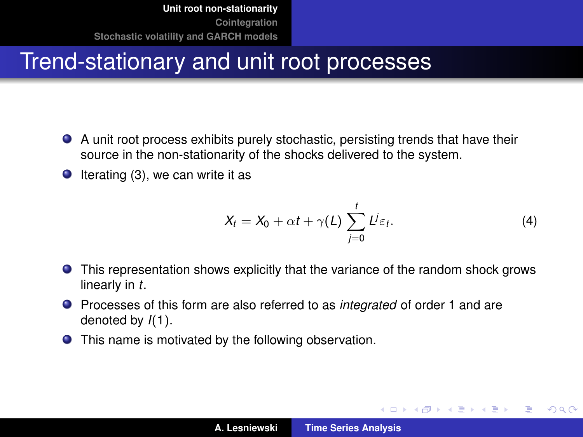# Trend-stationary and unit root processes

- A unit root process exhibits purely stochastic, persisting trends that have their source in the non-stationarity of the shocks delivered to the system.
- $\bullet$  Iterating [\(3\)](#page-3-1), we can write it as

<span id="page-6-0"></span>
$$
X_t = X_0 + \alpha t + \gamma(L) \sum_{j=0}^t L^j \varepsilon_t.
$$
 (4)

イロメ イ部メ イヨメ イヨメー

Þ

- This representation shows explicitly that the variance of the random shock grows linearly in *t*.
- Processes of this form are also referred to as *integrated* of order 1 and are denoted by *I*(1).
- This name is motivated by the following observation.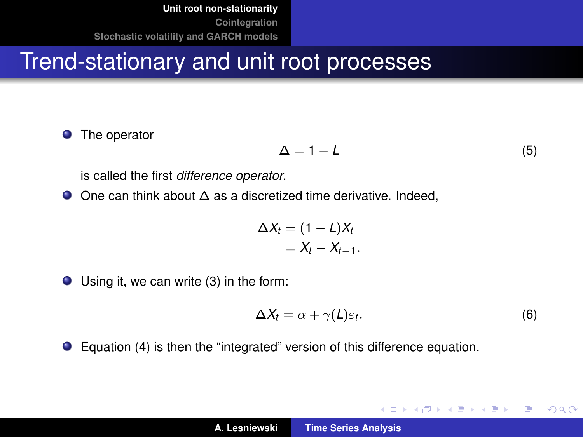#### Trend-stationary and unit root processes

 $\bullet$ The operator

 $\Delta = 1 - L$  (5)

is called the first *difference operator*.

One can think about ∆ as a discretized time derivative. Indeed,

$$
\Delta X_t = (1 - L)X_t
$$
  
=  $X_t - X_{t-1}$ .

Using it, we can write [\(3\)](#page-3-1) in the form:

$$
\Delta X_t = \alpha + \gamma(L)\varepsilon_t. \tag{6}
$$

イロメ イ部メ イヨメ イヨメー

 $299$ 

重

Equation [\(4\)](#page-6-0) is then the "integrated" version of this difference equation.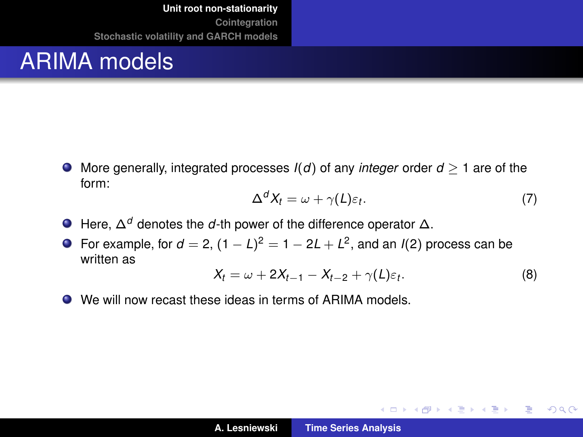# ARIMA models

 $\bullet$  More generally, integrated processes  $I(d)$  of any *integer* order  $d > 1$  are of the form:

$$
\Delta^d X_t = \omega + \gamma(L)\varepsilon_t. \tag{7}
$$

K ロ ⊁ K 伊 ⊁ K 君 ⊁ K 君 ⊁ …

 $\equiv$  990

- Here, ∆*<sup>d</sup>* denotes the *d*-th power of the difference operator ∆.
- For example, for  $d = 2$ ,  $(1 L)^2 = 1 2L + L^2$ , and an *I*(2) process can be written as

$$
X_t = \omega + 2X_{t-1} - X_{t-2} + \gamma(L)\varepsilon_t.
$$
 (8)

We will now recast these ideas in terms of ARIMA models.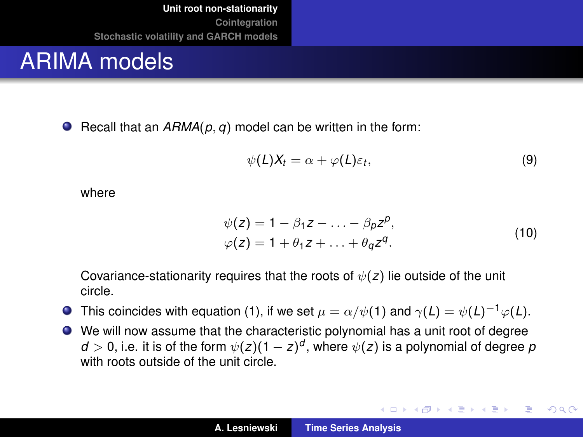#### ARIMA models

**•** Recall that an  $A R M A(p, q)$  model can be written in the form:

$$
\psi(L)X_t = \alpha + \varphi(L)\varepsilon_t, \tag{9}
$$

where

$$
\psi(z) = 1 - \beta_1 z - \dots - \beta_p z^p,
$$
  
\n
$$
\varphi(z) = 1 + \theta_1 z + \dots + \theta_q z^q.
$$
\n(10)

イロメ イ部メ イヨメ イヨメー

重

 $298$ 

Covariance-stationarity requires that the roots of  $\psi(z)$  lie outside of the unit circle.

- **O** This coincides with equation [\(1\)](#page-2-1), if we set  $\mu = \alpha/\psi(1)$  and  $\gamma(L) = \psi(L)^{-1}\varphi(L)$ .
- We will now assume that the characteristic polynomial has a unit root of degree  $d > 0$ , i.e. it is of the form  $\psi(z) (1 - z)^d$ , where  $\psi(z)$  is a polynomial of degree  $p$ with roots outside of the unit circle.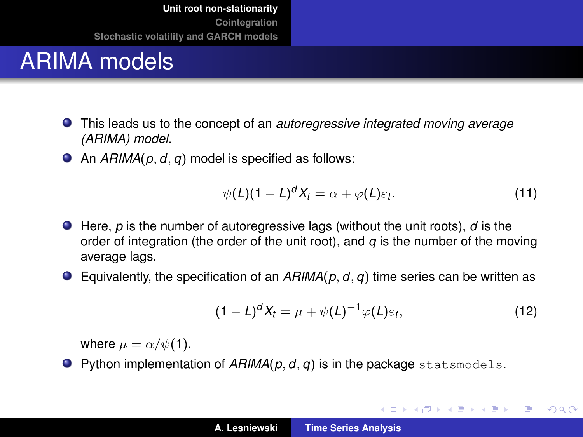# ARIMA models

- This leads us to the concept of an *autoregressive integrated moving average (ARIMA) model.*
- An *ARIMA*(*p*, *d*, *q*) model is specified as follows:

$$
\psi(L)(1-L)^d X_t = \alpha + \varphi(L)\varepsilon_t.
$$
\n(11)

- Here, *p* is the number of autoregressive lags (without the unit roots), *d* is the order of integration (the order of the unit root), and  $q$  is the number of the moving average lags.
- Equivalently, the specification of an *ARIMA*(*p*, *d*, *q*) time series can be written as

$$
(1-L)^d X_t = \mu + \psi(L)^{-1} \varphi(L) \varepsilon_t, \qquad (12)
$$

イロメ イ団メ イヨメ イヨメー

重

 $299$ 

where  $\mu = \alpha/\psi(1)$ .

**Python implementation of**  $AHMA(p, d, q)$  **is in the package statsmodels.**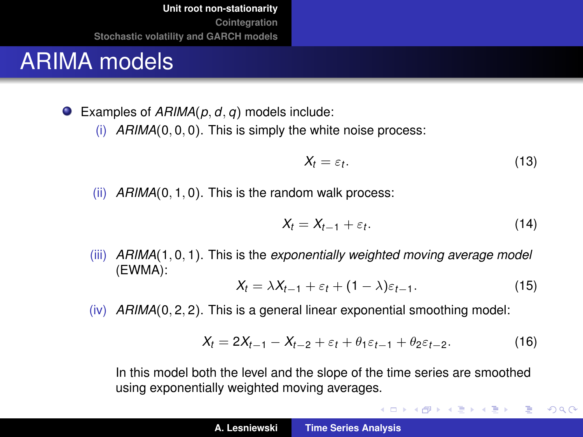# ARIMA models

Examples of *ARIMA*(*p*, *d*, *q*) models include:

(i) *ARIMA*(0, 0, 0). This is simply the white noise process:

$$
X_t = \varepsilon_t. \tag{13}
$$

(ii) *ARIMA*(0, 1, 0). This is the random walk process:

$$
X_t = X_{t-1} + \varepsilon_t. \tag{14}
$$

K ロ ⊁ K 伊 ⊁ K 君 ⊁ K 君 ⊁ …

ミー  $299$ 

(iii) *ARIMA*(1, 0, 1). This is the *exponentially weighted moving average model* (EWMA):

$$
X_t = \lambda X_{t-1} + \varepsilon_t + (1 - \lambda)\varepsilon_{t-1}.
$$
 (15)

(iv) *ARIMA*(0, 2, 2). This is a general linear exponential smoothing model:

$$
X_t = 2X_{t-1} - X_{t-2} + \varepsilon_t + \theta_1 \varepsilon_{t-1} + \theta_2 \varepsilon_{t-2}.
$$
 (16)

In this model both the level and the slope of the time series are smoothed using exponentially weighted moving averages.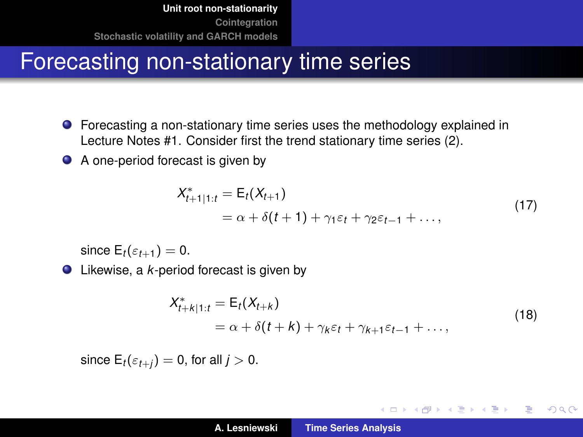# Forecasting non-stationary time series

- Forecasting a non-stationary time series uses the methodology explained in Lecture Notes #1. Consider first the trend stationary time series [\(2\)](#page-3-0).
- A one-period forecast is given by

$$
X_{t+1|1:t}^* = \mathsf{E}_t(X_{t+1})
$$
  
=  $\alpha + \delta(t+1) + \gamma_1 \varepsilon_t + \gamma_2 \varepsilon_{t-1} + \dots,$  (17)

since  $E_t(\varepsilon_{t+1}) = 0$ .

Likewise, a *k*-period forecast is given by

$$
X_{t+k|1:t}^* = \mathsf{E}_t(X_{t+k})
$$
  
=  $\alpha + \delta(t+k) + \gamma_k \varepsilon_t + \gamma_{k+1} \varepsilon_{t-1} + \dots,$  (18)

イロメ イ部メ イヨメ イヨメー

 $299$ 

÷.

since  $E_t(\varepsilon_{t+i}) = 0$ , for all  $j > 0$ .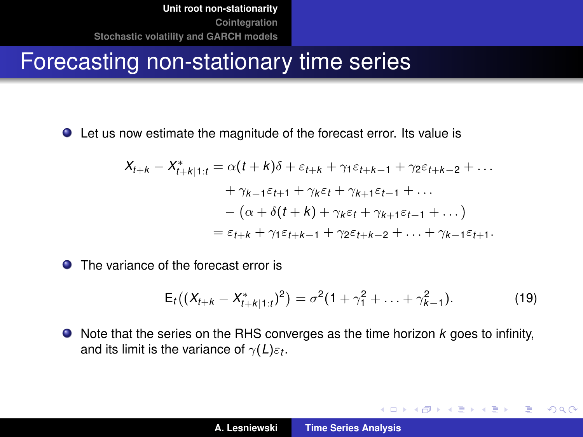#### Forecasting non-stationary time series

Let us now estimate the magnitude of the forecast error. Its value is

$$
X_{t+k} - X_{t+k|1:t}^* = \alpha(t+k)\delta + \varepsilon_{t+k} + \gamma_1\varepsilon_{t+k-1} + \gamma_2\varepsilon_{t+k-2} + \dots
$$

$$
+ \gamma_{k-1}\varepsilon_{t+1} + \gamma_k\varepsilon_t + \gamma_{k+1}\varepsilon_{t-1} + \dots
$$

$$
- (\alpha + \delta(t+k) + \gamma_k\varepsilon_t + \gamma_{k+1}\varepsilon_{t-1} + \dots)
$$

$$
= \varepsilon_{t+k} + \gamma_1\varepsilon_{t+k-1} + \gamma_2\varepsilon_{t+k-2} + \dots + \gamma_{k-1}\varepsilon_{t+1}.
$$

**O** The variance of the forecast error is

$$
E_t\big((X_{t+k}-X_{t+k|1:t}^*)^2\big)=\sigma^2(1+\gamma_1^2+\ldots+\gamma_{k-1}^2).
$$
 (19)

イロメ イ部メ イヨメ イヨメー

 $299$ 

重

Note that the series on the RHS converges as the time horizon *k* goes to infinity, and its limit is the variance of  $\gamma(L)\varepsilon_t.$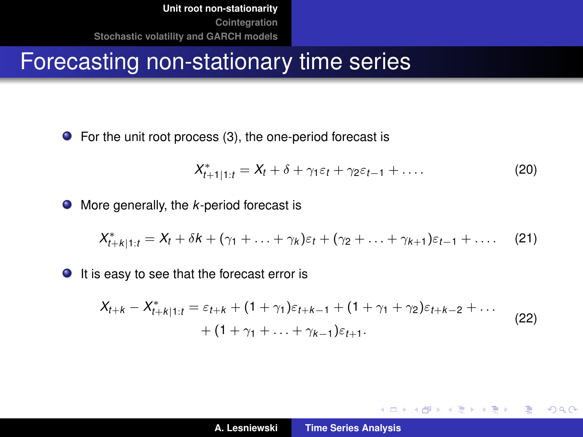#### Forecasting non-stationary time series

● For the unit root process [\(3\)](#page-3-1), the one-period forecast is

$$
X_{t+1|1:t}^* = X_t + \delta + \gamma_1 \varepsilon_t + \gamma_2 \varepsilon_{t-1} + \dots
$$
 (20)

イロメ イ部メ イヨメ イヨメー

重

 $299$ 

● More generally, the *k*-period forecast is

$$
X_{t+k|1:t}^* = X_t + \delta k + (\gamma_1 + \ldots + \gamma_k) \varepsilon_t + (\gamma_2 + \ldots + \gamma_{k+1}) \varepsilon_{t-1} + \ldots
$$
 (21)

 $\bullet$  It is easy to see that the forecast error is

$$
X_{t+k} - X_{t+k|1:t}^* = \varepsilon_{t+k} + (1+\gamma_1)\varepsilon_{t+k-1} + (1+\gamma_1+\gamma_2)\varepsilon_{t+k-2} + \dots
$$
  
+ 
$$
(1+\gamma_1 + \dots + \gamma_{k-1})\varepsilon_{t+1}.
$$
 (22)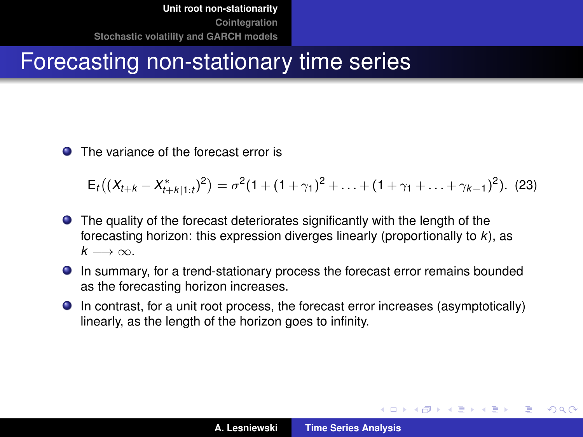# Forecasting non-stationary time series

**O** The variance of the forecast error is

 $\mathsf{E}_t\big((X_{t+k}-X_{t+k|1:t}^*)^2\big)=\sigma^2(1+(1+\gamma_1)^2+\ldots+(1+\gamma_1+\ldots+\gamma_{k-1})^2).$  (23)

- The quality of the forecast deteriorates significantly with the length of the forecasting horizon: this expression diverges linearly (proportionally to *k*), as  $k \rightarrow \infty$ .
- In summary, for a trend-stationary process the forecast error remains bounded as the forecasting horizon increases.
- In contrast, for a unit root process, the forecast error increases (asymptotically) linearly, as the length of the horizon goes to infinity.

イロトメ団トメミトメミト

GHT.  $2990$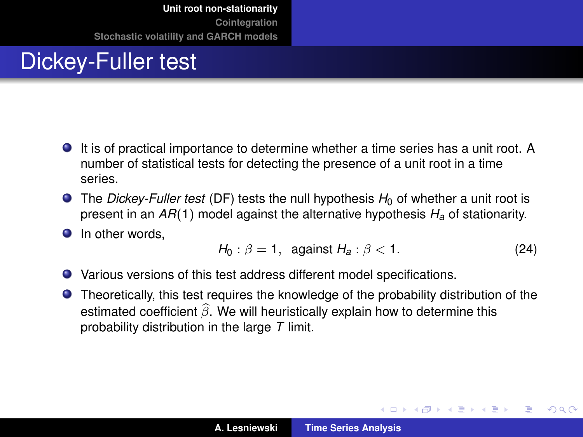# Dickey-Fuller test

- It is of practical importance to determine whether a time series has a unit root. A number of statistical tests for detecting the presence of a unit root in a time series.
- $\bullet$  The *Dickey-Fuller test* (DF) tests the null hypothesis  $H_0$  of whether a unit root is present in an *AR*(1) model against the alternative hypothesis *H<sup>a</sup>* of stationarity.
- **O** In other words.

$$
H_0: \beta = 1, \text{ against } H_a: \beta < 1. \tag{24}
$$

イロメ イ部メ イヨメ イヨメー

Þ

 $QQ$ 

- Various versions of this test address different model specifications.
- Theoretically, this test requires the knowledge of the probability distribution of the estimated coefficient  $\widehat{\beta}$ . We will heuristically explain how to determine this probability distribution in the large *T* limit.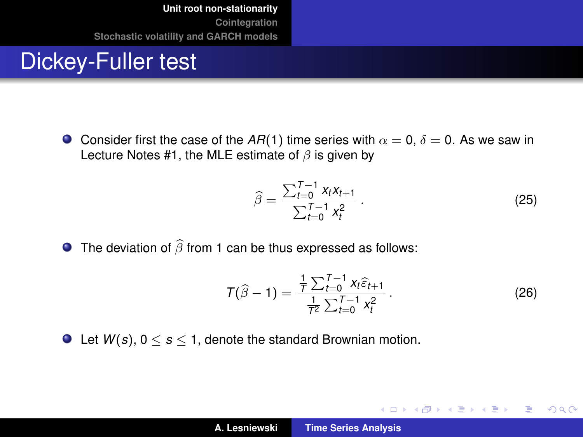#### Dickey-Fuller test

**Consider first the case of the AR(1) time series with**  $\alpha = 0$ **,**  $\delta = 0$ **. As we saw in** Lecture Notes #1, the MLE estimate of  $\beta$  is given by

$$
\widehat{\beta} = \frac{\sum_{t=0}^{T-1} x_t x_{t+1}}{\sum_{t=0}^{T-1} x_t^2} \,. \tag{25}
$$

**The deviation of**  $\widehat{\beta}$  **from 1 can be thus expressed as follows:** 

$$
T(\widehat{\beta}-1) = \frac{\frac{1}{T} \sum_{t=0}^{T-1} x_t \widehat{\epsilon}_{t+1}}{\frac{1}{T^2} \sum_{t=0}^{T-1} x_t^2}.
$$
 (26)

イロメ イ団メ イヨメ イヨメー

重

 $299$ 

 $\bullet$  Let  $W(s)$ ,  $0 \leq s \leq 1$ , denote the standard Brownian motion.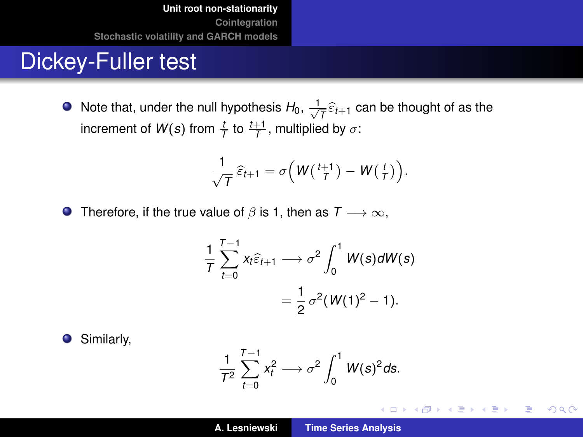#### Dickey-Fuller test

Note that, under the null hypothesis  $H_0$ ,  $\frac{1}{\sqrt{T}}\widehat{\varepsilon}_{t+1}$  can be thought of as the increment of  $W(s)$  from  $\frac{t}{\tau}$  to  $\frac{t+1}{\tau}$ , multiplied by  $\sigma$ :

$$
\frac{1}{\sqrt{T}}\,\widehat{\varepsilon}_{t+1}=\sigma\Big(W\big(\tfrac{t+1}{T}\big)-W\big(\tfrac{t}{T}\big)\Big).
$$

**O** Therefore, if the true value of  $\beta$  is 1, then as  $T \rightarrow \infty$ ,

$$
\frac{1}{T}\sum_{t=0}^{T-1}x_t\widehat{\varepsilon}_{t+1}\longrightarrow\sigma^2\int_0^1W(s)dW(s)
$$

$$
=\frac{1}{2}\sigma^2(W(1)^2-1).
$$

Similarly,  $\bullet$ 

$$
\frac{1}{T^2}\sum_{t=0}^{T-1}x_t^2\longrightarrow \sigma^2\int_0^1 W(s)^2ds.
$$

イロメ イ部メ イヨメ イヨメー

 $299$ 

重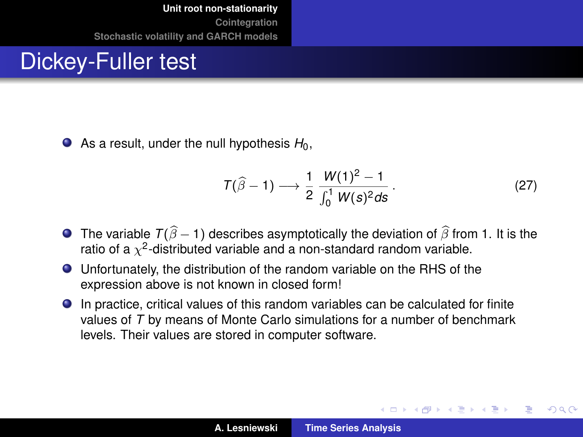#### Dickey-Fuller test

 $\bullet$  As a result, under the null hypothesis  $H_0$ ,

$$
T(\widehat{\beta}-1) \longrightarrow \frac{1}{2} \frac{W(1)^2 - 1}{\int_0^1 W(s)^2 ds}.
$$
 (27)

(ロ) (個) (量) (量)

 $QQ$ 

- **The variable**  $T(\hat{\beta} 1)$  **describes asymptotically the deviation of**  $\hat{\beta}$  **from 1. It is the** ratio of a  $\chi^2$ -distributed variable and a non-standard random variable.
- Unfortunately, the distribution of the random variable on the RHS of the expression above is not known in closed form!
- In practice, critical values of this random variables can be calculated for finite values of *T* by means of Monte Carlo simulations for a number of benchmark levels. Their values are stored in computer software.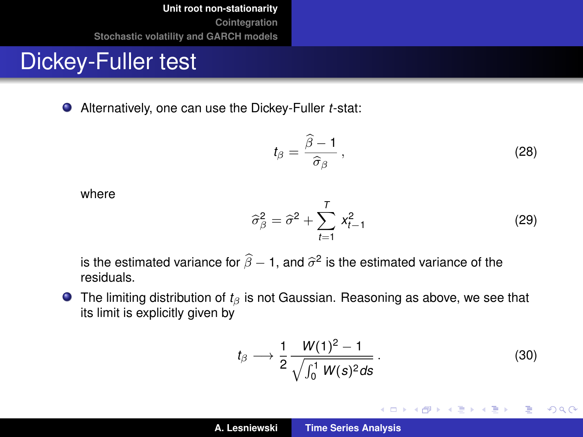#### Dickey-Fuller test

Alternatively, one can use the Dickey-Fuller *t*-stat:

<span id="page-20-0"></span>
$$
t_{\beta} = \frac{\widehat{\beta} - 1}{\widehat{\sigma}_{\beta}},\tag{28}
$$

where

$$
\widehat{\sigma}_{\beta}^2 = \widehat{\sigma}^2 + \sum_{t=1}^T x_{t-1}^2 \tag{29}
$$

is the estimated variance for  $\beta$  – 1, and  $\widehat{\sigma}^2$  is the estimated variance of the<br>residuals residuals.

**■** The limiting distribution of *t*<sub>β</sub> is not Gaussian. Reasoning as above, we see that its limit is explicitly given by

$$
t_{\beta} \longrightarrow \frac{1}{2} \frac{W(1)^2 - 1}{\sqrt{\int_0^1 W(s)^2 ds}}.
$$
 (30)

イロメ イ部メ イヨメ イヨメー

重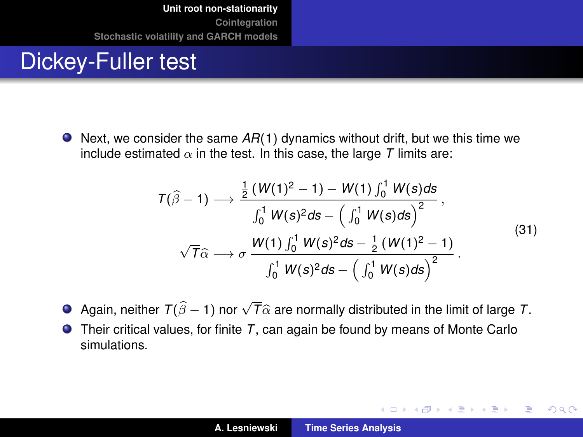#### Dickey-Fuller test

● Next, we consider the same *AR*(1) dynamics without drift, but we this time we include estimated  $\alpha$  in the test. In this case, the large  $T$  limits are:

$$
T(\hat{\beta}-1) \longrightarrow \frac{\frac{1}{2} (W(1)^2 - 1) - W(1) \int_0^1 W(s) ds}{\int_0^1 W(s)^2 ds - \left(\int_0^1 W(s) ds\right)^2},
$$
  

$$
\sqrt{T}\hat{\alpha} \longrightarrow \sigma \frac{W(1) \int_0^1 W(s)^2 ds - \frac{1}{2} (W(1)^2 - 1)}{\int_0^1 W(s)^2 ds - \left(\int_0^1 W(s) ds\right)^2}.
$$
 (31)

イロメ イ部メ イヨメ イヨメー

重

- Again, neither  $T(\widehat{\beta} 1)$  nor  $\sqrt{T}\widehat{\alpha}$  are normally distributed in the limit of large *T*.
- Their critical values, for finite *T*, can again be found by means of Monte Carlo simulations.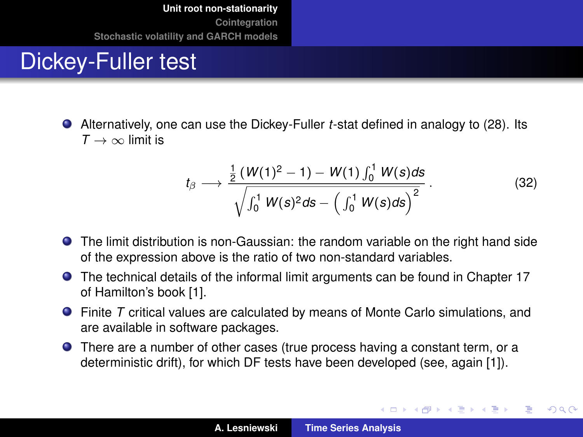# Dickey-Fuller test

Alternatively, one can use the Dickey-Fuller *t*-stat defined in analogy to [\(28\)](#page-20-0). Its  $T \rightarrow \infty$  limit is

$$
t_{\beta} \longrightarrow \frac{\frac{1}{2} \left( W(1)^2 - 1 \right) - W(1) \int_0^1 W(s) ds}{\sqrt{\int_0^1 W(s)^2 ds - \left( \int_0^1 W(s) ds \right)^2}}.
$$
 (32)

イロメ イ部メ イヨメ イヨメー

Þ

- The limit distribution is non-Gaussian: the random variable on the right hand side of the expression above is the ratio of two non-standard variables.
- **•** The technical details of the informal limit arguments can be found in Chapter 17 of Hamilton's book [\[1\]](#page-52-1).
- Finite *T* critical values are calculated by means of Monte Carlo simulations, and are available in software packages.
- There are a number of other cases (true process having a constant term, or a deterministic drift), for which DF tests have been developed (see, again [\[1\]](#page-52-1)).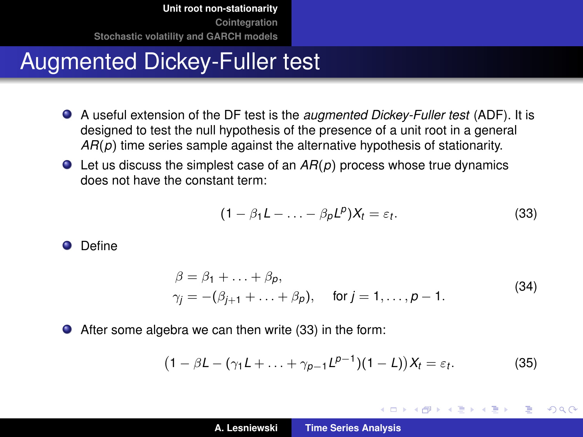# Augmented Dickey-Fuller test

- A useful extension of the DF test is the *augmented Dickey-Fuller test* (ADF). It is designed to test the null hypothesis of the presence of a unit root in a general *AR*(*p*) time series sample against the alternative hypothesis of stationarity.
- Let us discuss the simplest case of an *AR*(*p*) process whose true dynamics does not have the constant term:

<span id="page-23-0"></span>
$$
(1 - \beta_1 L - \ldots - \beta_p L^p) X_t = \varepsilon_t.
$$
 (33)

**O** Define

$$
\beta = \beta_1 + \dots + \beta_p, \n\gamma_j = -(\beta_{j+1} + \dots + \beta_p), \quad \text{for } j = 1, \dots, p-1.
$$
\n(34)

After some algebra we can then write [\(33\)](#page-23-0) in the form:

<span id="page-23-1"></span>
$$
(1 - \beta L - (\gamma_1 L + \dots + \gamma_{p-1} L^{p-1})(1 - L))X_t = \varepsilon_t.
$$
 (35)

(ロトス個) (運) (運)

Þ

 $QQ$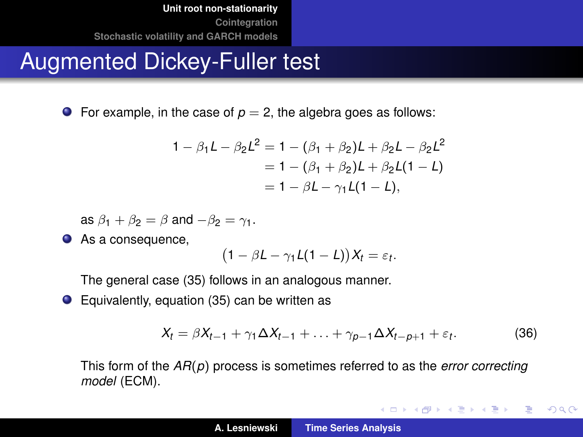# Augmented Dickey-Fuller test

**•** For example, in the case of  $p = 2$ , the algebra goes as follows:

$$
1 - \beta_1 L - \beta_2 L^2 = 1 - (\beta_1 + \beta_2)L + \beta_2 L - \beta_2 L^2
$$
  
= 1 - (\beta\_1 + \beta\_2)L + \beta\_2 L(1 - L)  
= 1 - \beta L - \gamma\_1 L(1 - L),

as  $\beta_1 + \beta_2 = \beta$  and  $-\beta_2 = \gamma_1$ .

● As a consequence,

$$
(1 - \beta L - \gamma_1 L(1 - L))X_t = \varepsilon_t.
$$

The general case [\(35\)](#page-23-1) follows in an analogous manner.

● Equivalently, equation [\(35\)](#page-23-1) can be written as

$$
X_t = \beta X_{t-1} + \gamma_1 \Delta X_{t-1} + \ldots + \gamma_{p-1} \Delta X_{t-p+1} + \varepsilon_t.
$$
 (36)

イロトメ団トメミトメミト

唐山  $2990$ 

This form of the *AR*(*p*) process is sometimes referred to as the *error correcting model* (ECM).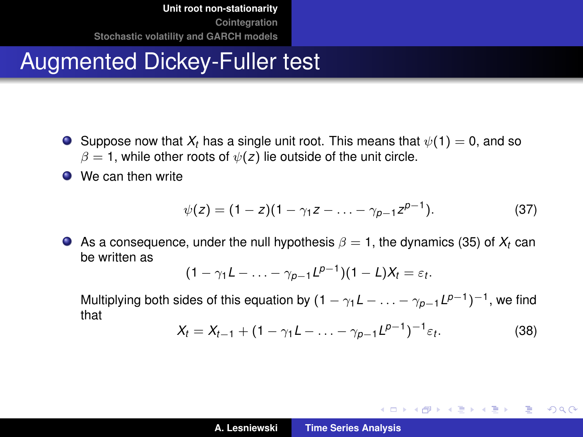# Augmented Dickey-Fuller test

- **O** Suppose now that  $X_t$  has a single unit root. This means that  $\psi(1) = 0$ , and so  $\beta = 1$ , while other roots of  $\psi(z)$  lie outside of the unit circle.
- We can then write

$$
\psi(z) = (1-z)(1-\gamma_1 z - \ldots - \gamma_{p-1} z^{p-1}). \tag{37}
$$

As a consequence, under the null hypothesis  $\beta = 1$ , the dynamics [\(35\)](#page-23-1) of  $X_t$  can be written as

$$
(1-\gamma_1L-\ldots-\gamma_{p-1}L^{p-1})(1-L)X_t=\varepsilon_t.
$$

Multiplying both sides of this equation by  $(1 - \gamma_1 L - \ldots - \gamma_{p-1} L^{p-1})^{-1}$ , we find that

$$
X_t = X_{t-1} + (1 - \gamma_1 L - \ldots - \gamma_{p-1} L^{p-1})^{-1} \varepsilon_t.
$$
 (38)

K ロ ▶ K 御 ▶ K 重 ▶ K 重 ▶ 三重 → 約 Q @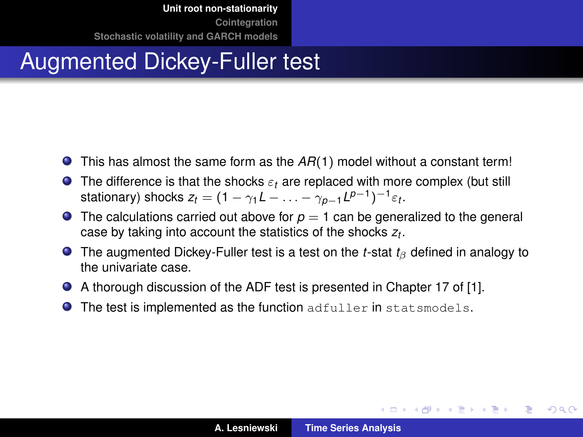# Augmented Dickey-Fuller test

- This has almost the same form as the *AR*(1) model without a constant term!
- **The difference is that the shocks**  $\varepsilon_t$  **are replaced with more complex (but still** stationary) shocks  $z_t = (1 - \gamma_1 L - \ldots - \gamma_{p-1} L^{p-1})^{-1} \varepsilon_t$ .
- **The calculations carried out above for**  $p = 1$  **can be generalized to the general** case by taking into account the statistics of the shocks *z<sup>t</sup>* .
- **The augmented Dickey-Fuller test is a test on the** *t***-stat**  $t_\beta$  **defined in analogy to** the univariate case.
- A thorough discussion of the ADF test is presented in Chapter 17 of [\[1\]](#page-52-1).
- The test is implemented as the function adfuller in statsmodels.  $\bullet$

(ロトス個) (運) (運)

Þ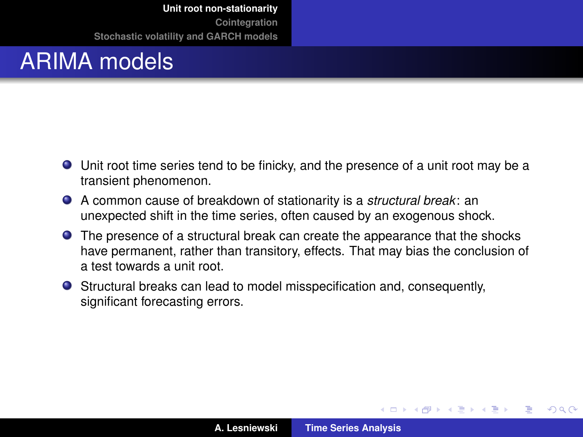# ARIMA models

- Unit root time series tend to be finicky, and the presence of a unit root may be a transient phenomenon.
- A common cause of breakdown of stationarity is a *structural break*: an unexpected shift in the time series, often caused by an exogenous shock.
- The presence of a structural break can create the appearance that the shocks have permanent, rather than transitory, effects. That may bias the conclusion of a test towards a unit root.
- Structural breaks can lead to model misspecification and, consequently, significant forecasting errors.

(ロトス個) (運) (運)

 $QQ$ 

Þ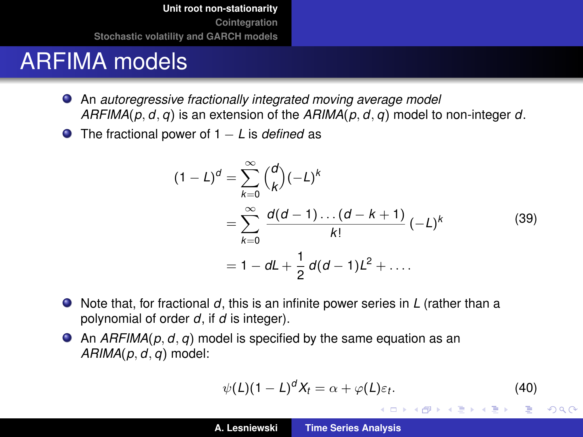# ARFIMA models

- An *autoregressive fractionally integrated moving average model ARFIMA*(*p*, *d*, *q*) is an extension of the *ARIMA*(*p*, *d*, *q*) model to non-integer *d*.
- The fractional power of 1 − *L* is *defined* as

$$
(1 - L)^d = \sum_{k=0}^{\infty} {d \choose k} (-L)^k
$$
  
= 
$$
\sum_{k=0}^{\infty} \frac{d(d-1)...(d-k+1)}{k!} (-L)^k
$$
  
= 
$$
1 - dL + \frac{1}{2} d(d-1)L^2 + ....
$$
 (39)

- Note that, for fractional *d*, this is an infinite power series in *L* (rather than a polynomial of order *d*, if *d* is integer).
- An *ARFIMA*( $p, d, q$ ) model is specified by the same equation as an *ARIMA*(*p*, *d*, *q*) model:

$$
\psi(L)(1-L)^d X_t = \alpha + \varphi(L)\varepsilon_t.
$$
 (40)

K ロ ⊁ K 伊 ⊁ K 君 ⊁ K 君 ⊁ …

 $299$ ミー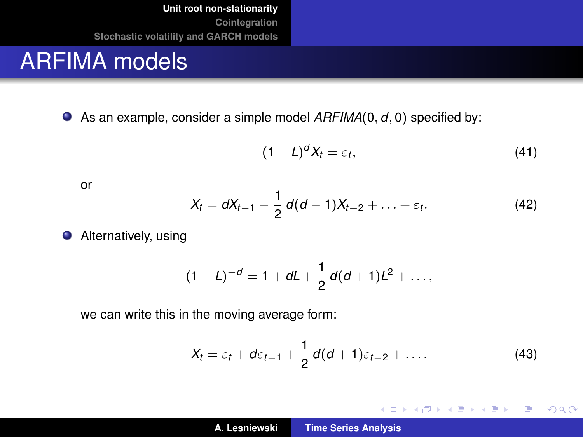#### ARFIMA models

● As an example, consider a simple model  $ARFIMA(0, d, 0)$  specified by:

$$
(1-L)^d X_t = \varepsilon_t, \tag{41}
$$

or

$$
X_t = dX_{t-1} - \frac{1}{2}d(d-1)X_{t-2} + \ldots + \varepsilon_t.
$$
 (42)

**•** Alternatively, using

$$
(1-L)^{-d} = 1 + dL + \frac{1}{2} d(d+1)L^2 + \ldots,
$$

we can write this in the moving average form:

$$
X_t = \varepsilon_t + d\varepsilon_{t-1} + \frac{1}{2}d(d+1)\varepsilon_{t-2} + \dots
$$
 (43)

イロメ イ部メ イヨメ イヨメー

重。  $2QQ$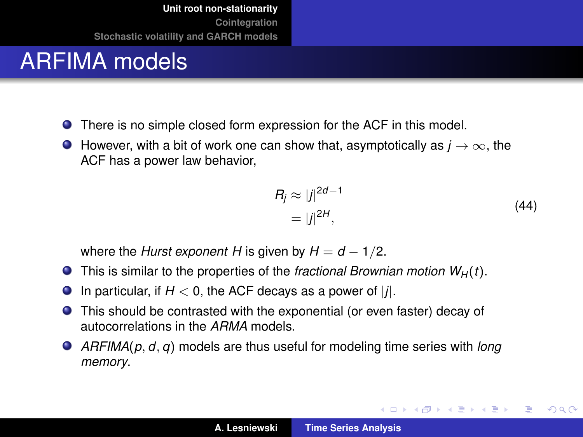# <span id="page-30-0"></span>ARFIMA models

- There is no simple closed form expression for the ACF in this model.
- **However, with a bit of work one can show that, asymptotically as**  $j \rightarrow \infty$ **, the** ACF has a power law behavior,

$$
R_j \approx |j|^{2d-1}
$$
  
=  $|j|^{2H}$ , (44)

イロメ イ部メ イヨメ イヨメー

重

 $298$ 

where the *Hurst exponent H* is given by  $H = d - 1/2$ .

- $\bullet$  This is similar to the properties of the *fractional Brownian motion W<sub>H</sub>*(*t*).
- $\bullet$ In particular, if  $H < 0$ , the ACF decays as a power of  $|j|$ .
- This should be contrasted with the exponential (or even faster) decay of autocorrelations in the *ARMA* models.
- *ARFIMA*(*p*, *d*, *q*) models are thus useful for modeling time series with *long memory*.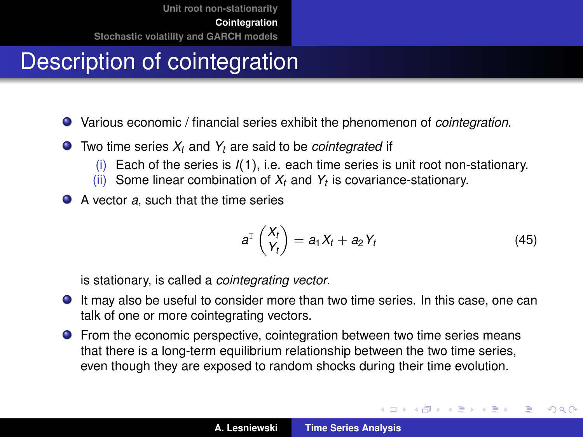# <span id="page-31-0"></span>Description of cointegration

- Various economic / financial series exhibit the phenomenon of *cointegration*.
- Two time series *X<sup>t</sup>* and *Y<sup>t</sup>* are said to be *cointegrated* if
	- (i) Each of the series is *I*(1), i.e. each time series is unit root non-stationary.
	- (ii) Some linear combination of *X<sup>t</sup>* and *Y<sup>t</sup>* is covariance-stationary.
- A vector *a*, such that the time series

$$
a^{\mathrm{T}}\begin{pmatrix} X_t \\ Y_t \end{pmatrix} = a_1X_t + a_2Y_t \tag{45}
$$

(ロトス個) (運) (運)

 $299$ 

Þ

is stationary, is called a *cointegrating vector*.

- It may also be useful to consider more than two time series. In this case, one can talk of one or more cointegrating vectors.
- From the economic perspective, cointegration between two time series means that there is a long-term equilibrium relationship between the two time series, even though they are exposed to random shocks during their time evolution.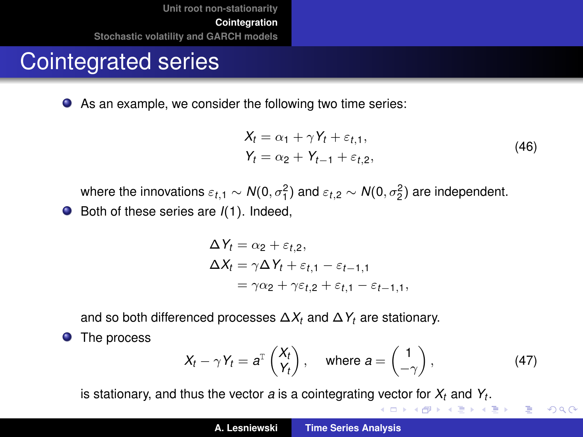# Cointegrated series

As an example, we consider the following two time series:

$$
X_t = \alpha_1 + \gamma Y_t + \varepsilon_{t,1},
$$
  
\n
$$
Y_t = \alpha_2 + Y_{t-1} + \varepsilon_{t,2},
$$
\n(46)

<span id="page-32-0"></span>where the innovations  $\varepsilon_{t,1} \sim N(0,\sigma_1^2)$  and  $\varepsilon_{t,2} \sim N(0,\sigma_2^2)$  are independent.

● Both of these series are  $I(1)$ . Indeed,

$$
\Delta Y_t = \alpha_2 + \varepsilon_{t,2},
$$
  
\n
$$
\Delta X_t = \gamma \Delta Y_t + \varepsilon_{t,1} - \varepsilon_{t-1,1}
$$
  
\n
$$
= \gamma \alpha_2 + \gamma \varepsilon_{t,2} + \varepsilon_{t,1} - \varepsilon_{t-1,1},
$$

and so both differenced processes ∆*X<sup>t</sup>* and ∆*Y<sup>t</sup>* are stationary.

**O** The process

<span id="page-32-1"></span>
$$
X_t - \gamma Y_t = a^{\mathrm{T}} \begin{pmatrix} X_t \\ Y_t \end{pmatrix}, \quad \text{where } a = \begin{pmatrix} 1 \\ -\gamma \end{pmatrix}, \tag{47}
$$

唐山  $2QQ$ 

is stationary, and thus the vector *a* is a cointegrating vector for *X[t](#page-33-0)* and *Y[t](#page-30-0)* .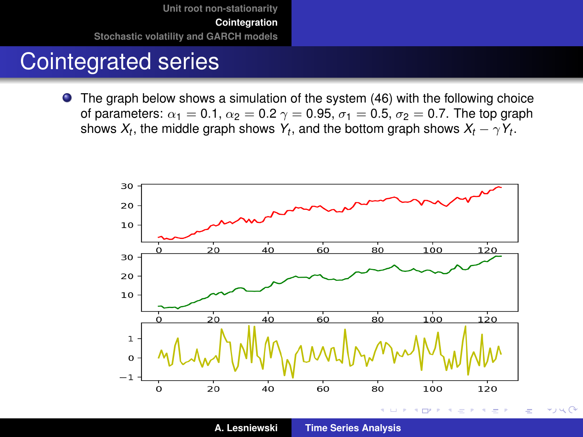# <span id="page-33-0"></span>Cointegrated series

The graph below shows a simulation of the system [\(46\)](#page-32-0) with the following choice of parameters:  $\alpha_1 = 0.1$ ,  $\alpha_2 = 0.2$   $\gamma = 0.95$ ,  $\sigma_1 = 0.5$ ,  $\sigma_2 = 0.7$ . The top graph shows  $X_t$ , the middle graph shows  $Y_t$ , and the bottom graph shows  $X_t - \gamma Y_t$ .



 $\star$ بار $\sim$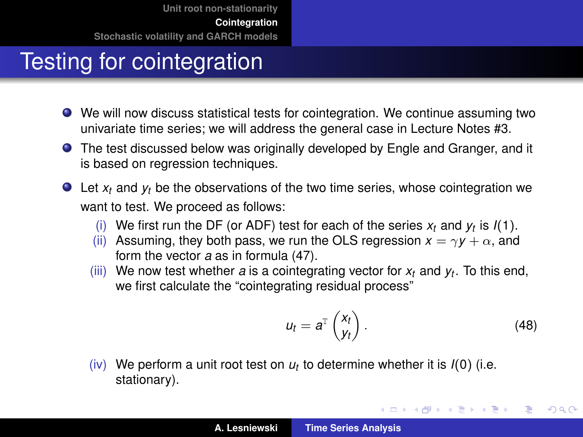# Testing for cointegration

- We will now discuss statistical tests for cointegration. We continue assuming two univariate time series; we will address the general case in Lecture Notes #3.
- The test discussed below was originally developed by Engle and Granger, and it is based on regression techniques.
- Let *x<sub>t</sub>* and *y<sub>t</sub>* be the observations of the two time series, whose cointegration we want to test. We proceed as follows:
	- (i) We first run the DF (or ADF) test for each of the series  $x_t$  and  $y_t$  is  $I(1)$ .
	- (ii) Assuming, they both pass, we run the OLS regression  $x = \gamma y + \alpha$ , and form the vector *a* as in formula [\(47\)](#page-32-1).
	- (iii) We now test whether *a* is a cointegrating vector for *x<sup>t</sup>* and *y<sup>t</sup>* . To this end, we first calculate the "cointegrating residual process"

$$
u_t = a^{\mathrm{T}} \begin{pmatrix} x_t \\ y_t \end{pmatrix} . \tag{48}
$$

イロメ イ部メ イヨメ イヨメー

 $299$ 

重

(iv) We perform a unit root test on  $u_t$  to determine whether it is  $I(0)$  (i.e. stationary).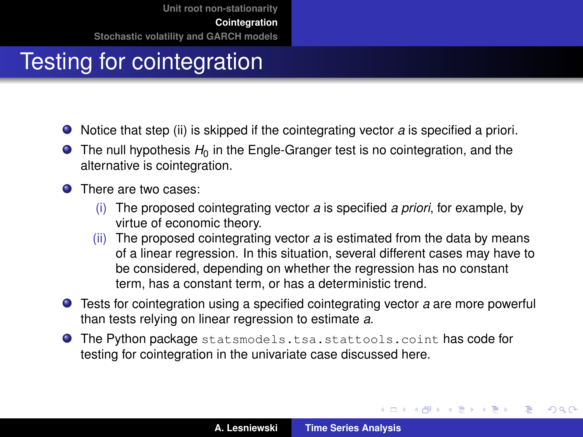# Testing for cointegration

- Notice that step (ii) is skipped if the cointegrating vector *a* is specified a priori.
- $\bullet$  The null hypothesis  $H_0$  in the Engle-Granger test is no cointegration, and the alternative is cointegration.
- **O** There are two cases:
	- (i) The proposed cointegrating vector *a* is specified *a priori*, for example, by virtue of economic theory.
	- (ii) The proposed cointegrating vector *a* is estimated from the data by means of a linear regression. In this situation, several different cases may have to be considered, depending on whether the regression has no constant term, has a constant term, or has a deterministic trend.
- Tests for cointegration using a specified cointegrating vector *a* are more powerful than tests relying on linear regression to estimate *a*.
- **O** The Python package statsmodels.tsa.stattools.coint has code for testing for cointegration in the univariate case discussed here.

(ロトス個) (運) (運)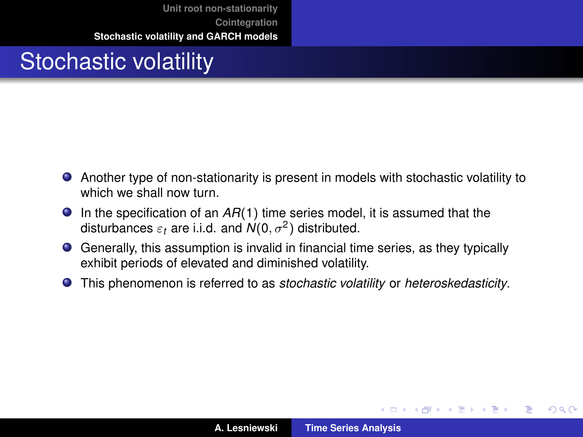# <span id="page-36-0"></span>Stochastic volatility

- Another type of non-stationarity is present in models with stochastic volatility to which we shall now turn.
- In the specification of an *AR*(1) time series model, it is assumed that the disturbances  $\varepsilon_t$  are i.i.d. and  $\mathcal{N}(0,\sigma^2)$  distributed.
- Generally, this assumption is invalid in financial time series, as they typically exhibit periods of elevated and diminished volatility.
- This phenomenon is referred to as *stochastic volatility* or *heteroskedasticity*.

(ロトス個) (運) (運)

重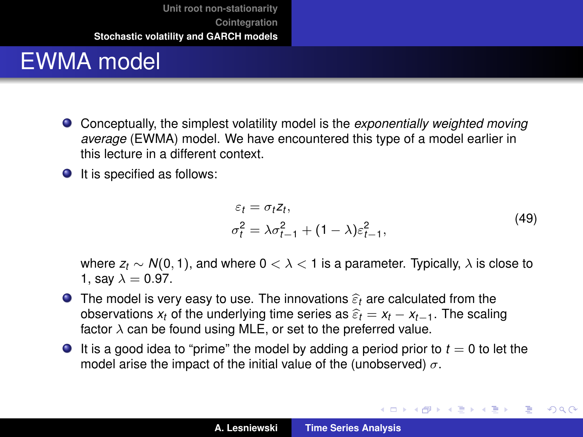# EWMA model

- Conceptually, the simplest volatility model is the *exponentially weighted moving average* (EWMA) model. We have encountered this type of a model earlier in this lecture in a different context.
- $\bullet$  It is specified as follows:

$$
\varepsilon_t = \sigma_t z_t,
$$
  
\n
$$
\sigma_t^2 = \lambda \sigma_{t-1}^2 + (1 - \lambda) \varepsilon_{t-1}^2,
$$
\n(49)

イロメ イ部メ イヨメ イヨメー

 $299$ 

重

where *z<sup>t</sup>* ∼ *N*(0, 1), and where 0 < λ < 1 is a parameter. Typically, λ is close to 1, say  $\lambda = 0.97$ .

- **The model is very easy to use. The innovations**  $\hat{\epsilon}_t$  **are calculated from the** observations  $x_t$  of the underlying time series as  $\hat{\varepsilon}_t = x_t - x_{t-1}$ . The scaling factor  $\lambda$  can be found using MLE, or set to the preferred value.
- $\bullet$  It is a good idea to "prime" the model by adding a period prior to  $t = 0$  to let the model arise the impact of the initial value of the (unobserved)  $\sigma$ .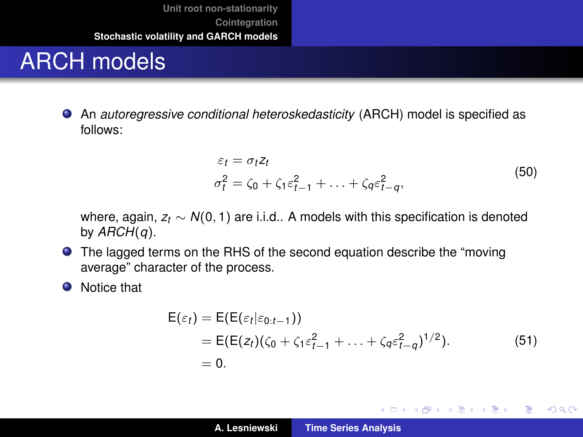# ARCH models

An *autoregressive conditional heteroskedasticity* (ARCH) model is specified as follows:

$$
\varepsilon_t = \sigma_t z_t
$$
  
\n
$$
\sigma_t^2 = \zeta_0 + \zeta_1 \varepsilon_{t-1}^2 + \ldots + \zeta_q \varepsilon_{t-q}^2,
$$
\n(50)

<span id="page-38-0"></span>where, again,  $z_t \sim N(0, 1)$  are i.i.d.. A models with this specification is denoted by *ARCH*(*q*).

- The lagged terms on the RHS of the second equation describe the "moving average" character of the process.
- **O** Notice that

$$
\begin{aligned} \mathsf{E}(\varepsilon_t) &= \mathsf{E}(\mathsf{E}(\varepsilon_t|\varepsilon_{0:t-1})) \\ &= \mathsf{E}(\mathsf{E}(z_t)(\zeta_0 + \zeta_1\varepsilon_{t-1}^2 + \ldots + \zeta_q\varepsilon_{t-q}^2)^{1/2}). \\ &= 0. \end{aligned} \tag{51}
$$

イロメ イ部メ イヨメ イヨメー

重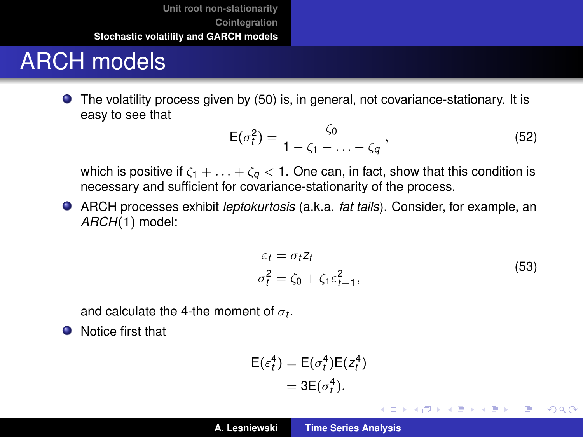# ARCH models

The volatility process given by [\(50\)](#page-38-0) is, in general, not covariance-stationary. It is easy to see that

<span id="page-39-1"></span>
$$
E(\sigma_t^2) = \frac{\zeta_0}{1 - \zeta_1 - \ldots - \zeta_q},
$$
\n(52)

which is positive if  $\zeta_1 + \ldots + \zeta_q < 1$ . One can, in fact, show that this condition is necessary and sufficient for covariance-stationarity of the process.

ARCH processes exhibit *leptokurtosis* (a.k.a. *fat tails*). Consider, for example, an *ARCH*(1) model:

$$
\varepsilon_t = \sigma_t z_t
$$
  
\n
$$
\sigma_t^2 = \zeta_0 + \zeta_1 \varepsilon_{t-1}^2,
$$
\n(53)

イロメ イ部メ イヨメ イヨメー

重

 $298$ 

<span id="page-39-0"></span>and calculate the 4-the moment of  $\sigma_t$ .

**O** Notice first that

$$
\mathsf{E}(\varepsilon_t^4) = \mathsf{E}(\sigma_t^4) \mathsf{E}(z_t^4) \n= 3 \mathsf{E}(\sigma_t^4).
$$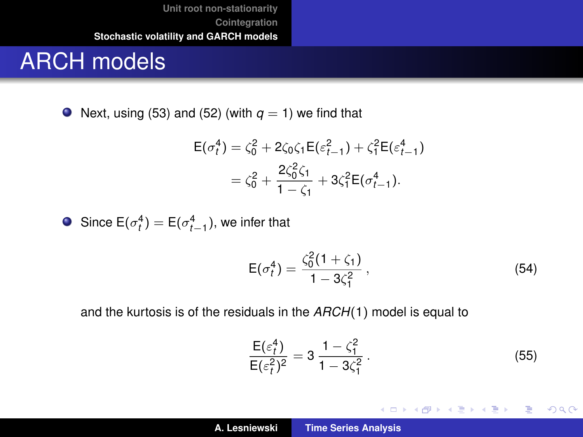#### ARCH models

 $\bullet$  Next, using [\(53\)](#page-39-0) and [\(52\)](#page-39-1) (with  $q = 1$ ) we find that

$$
\mathsf{E}(\sigma_t^4) = \zeta_0^2 + 2\zeta_0\zeta_1\mathsf{E}(\varepsilon_{t-1}^2) + \zeta_1^2\mathsf{E}(\varepsilon_{t-1}^4)
$$

$$
= \zeta_0^2 + \frac{2\zeta_0^2\zeta_1}{1 - \zeta_1} + 3\zeta_1^2\mathsf{E}(\sigma_{t-1}^4).
$$

Since  $E(\sigma_t^4) = E(\sigma_{t-1}^4)$ , we infer that

$$
E(\sigma_t^4) = \frac{\zeta_0^2 (1 + \zeta_1)}{1 - 3\zeta_1^2},\tag{54}
$$

and the kurtosis is of the residuals in the *ARCH*(1) model is equal to

<span id="page-40-0"></span>
$$
\frac{E(\varepsilon_t^4)}{E(\varepsilon_t^2)^2} = 3 \frac{1 - \zeta_1^2}{1 - 3\zeta_1^2} \,. \tag{55}
$$

K ロ ▶ K 御 ▶ K 重 ▶ K 重 ▶ 三重 → 約 Q @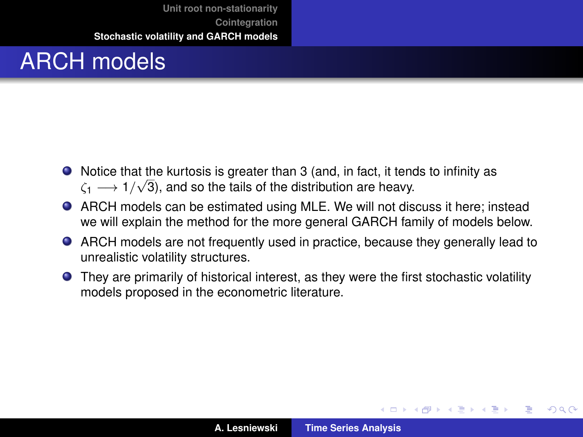# ARCH models

- Notice that the kurtosis is greater than 3 (and, in fact, it tends to infinity as  $\zeta_1 \longrightarrow 1/\sqrt{3}$ ), and so the tails of the distribution are heavy.
- ARCH models can be estimated using MLE. We will not discuss it here; instead we will explain the method for the more general GARCH family of models below.
- ARCH models are not frequently used in practice, because they generally lead to unrealistic volatility structures.
- They are primarily of historical interest, as they were the first stochastic volatility models proposed in the econometric literature.

イロメ イ部メ イヨメ イヨメー

 $QQ$ 

Þ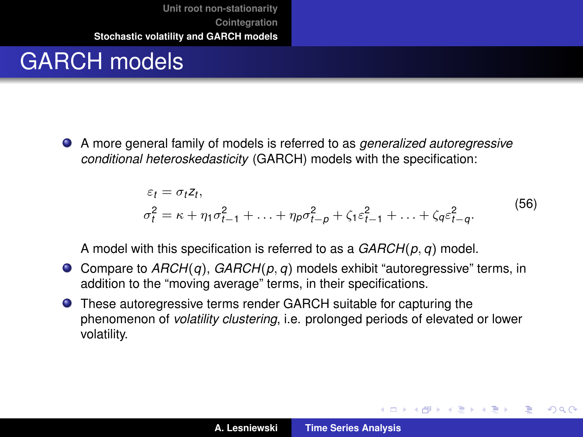# GARCH models

A more general family of models is referred to as *generalized autoregressive conditional heteroskedasticity* (GARCH) models with the specification:

$$
\varepsilon_t = \sigma_t z_t,
$$
  
\n
$$
\sigma_t^2 = \kappa + \eta_1 \sigma_{t-1}^2 + \ldots + \eta_p \sigma_{t-p}^2 + \zeta_1 \varepsilon_{t-1}^2 + \ldots + \zeta_q \varepsilon_{t-q}^2.
$$
\n(56)

<span id="page-42-0"></span>A model with this specification is referred to as a *GARCH*(*p*, *q*) model.

- Compare to *ARCH*(*q*), *GARCH*(*p*, *q*) models exhibit "autoregressive" terms, in addition to the "moving average" terms, in their specifications.
- **O** These autoregressive terms render GARCH suitable for capturing the phenomenon of *volatility clustering*, i.e. prolonged periods of elevated or lower volatility.

イロメ イ部メ イヨメ イヨメー

 $299$ 

Þ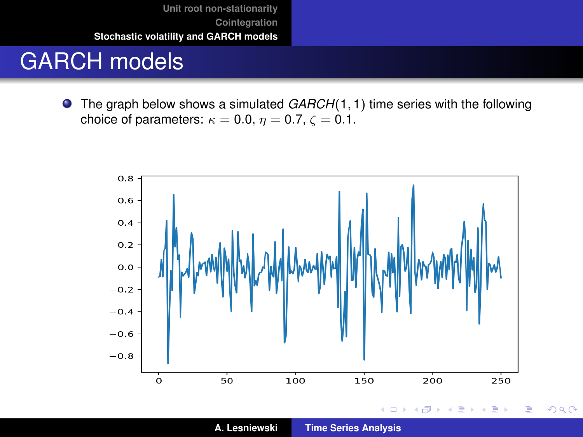## GARCH models

The graph below shows a simulated *GARCH*(1, 1) time series with the following  $\bullet$ choice of parameters:  $\kappa = 0.0$ ,  $\eta = 0.7$ ,  $\zeta = 0.1$ .

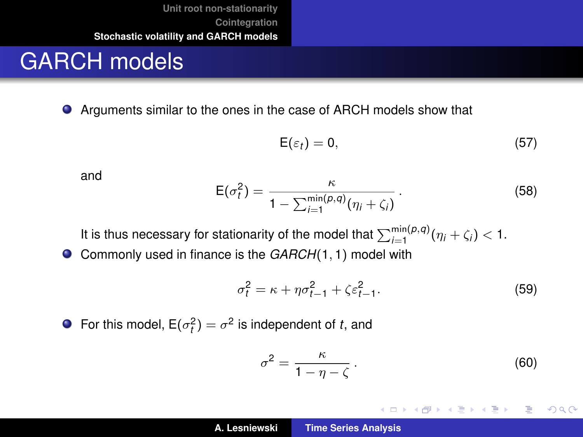#### GARCH models

Arguments similar to the ones in the case of ARCH models show that

$$
\mathsf{E}(\varepsilon_t)=0,\tag{57}
$$

and

$$
E(\sigma_i^2) = \frac{\kappa}{1 - \sum_{i=1}^{\min(p,q)} (\eta_i + \zeta_i)}.
$$
 (58)

It is thus necessary for stationarity of the model that  $\sum_{i=1}^{\min(p,q)}(\eta_i+\zeta_i) < 1$ .

Commonly used in finance is the *GARCH*(1, 1) model with  $\bullet$ 

$$
\sigma_t^2 = \kappa + \eta \sigma_{t-1}^2 + \zeta \varepsilon_{t-1}^2. \tag{59}
$$

For this model,  $E(\sigma_t^2) = \sigma^2$  is independent of *t*, and

<span id="page-44-0"></span>
$$
\sigma^2 = \frac{\kappa}{1 - \eta - \zeta} \,. \tag{60}
$$

K ロ ⊁ K 伊 ⊁ K 君 ⊁ K 君 ⊁ …

重。  $299$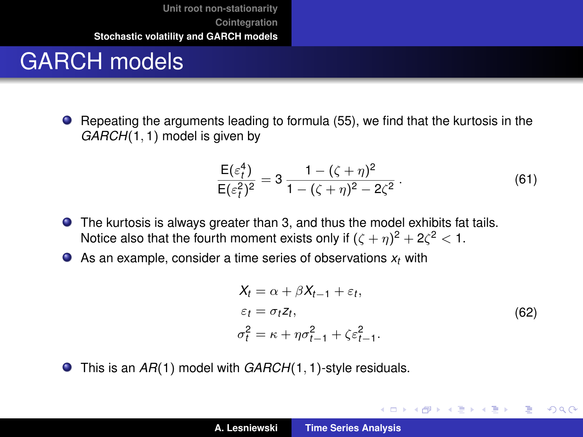# GARCH models

Repeating the arguments leading to formula [\(55\)](#page-40-0), we find that the kurtosis in the *GARCH*(1, 1) model is given by

$$
\frac{\mathsf{E}(\varepsilon_t^4)}{\mathsf{E}(\varepsilon_t^2)^2} = 3 \frac{1 - (\zeta + \eta)^2}{1 - (\zeta + \eta)^2 - 2\zeta^2} \,. \tag{61}
$$

- The kurtosis is always greater than 3, and thus the model exhibits fat tails. Notice also that the fourth moment exists only if  $(\zeta + \eta)^2 + 2\zeta^2 < 1$ .
- As an example, consider a time series of observations *x<sup>t</sup>* with

$$
\begin{aligned} X_t &= \alpha + \beta X_{t-1} + \varepsilon_t, \\ \varepsilon_t &= \sigma_t z_t, \\ \sigma_t^2 &= \kappa + \eta \sigma_{t-1}^2 + \zeta \varepsilon_{t-1}^2. \end{aligned} \tag{62}
$$

イロメ イ部メ イヨメ イヨメー

重

 $298$ 

<span id="page-45-0"></span>● This is an *AR*(1) model with *GARCH*(1, 1)-style residuals.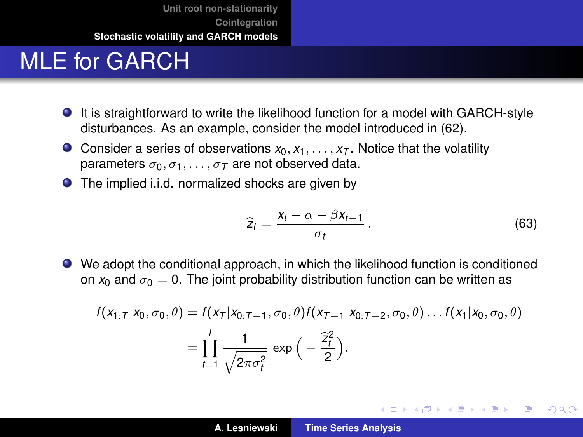# MLE for GARCH

- It is straightforward to write the likelihood function for a model with GARCH-style disturbances. As an example, consider the model introduced in [\(62\)](#page-45-0).
- Consider a series of observations  $x_0, x_1, \ldots, x_T$ . Notice that the volatility parameters  $\sigma_0, \sigma_1, \ldots, \sigma_T$  are not observed data.
- The implied i.i.d. normalized shocks are given by

$$
\widehat{z}_t = \frac{x_t - \alpha - \beta x_{t-1}}{\sigma_t} \,. \tag{63}
$$

イロメ イ部メ イヨメ イヨメー

重

 $298$ 

We adopt the conditional approach, in which the likelihood function is conditioned on  $x_0$  and  $\sigma_0 = 0$ . The joint probability distribution function can be written as

$$
f(x_{1:T}|x_0, \sigma_0, \theta) = f(x_T|x_{0:T-1}, \sigma_0, \theta) f(x_{T-1}|x_{0:T-2}, \sigma_0, \theta) \dots f(x_1|x_0, \sigma_0, \theta)
$$
  
= 
$$
\prod_{t=1}^T \frac{1}{\sqrt{2\pi \sigma_t^2}} \exp\left(-\frac{\hat{z}_t^2}{2}\right).
$$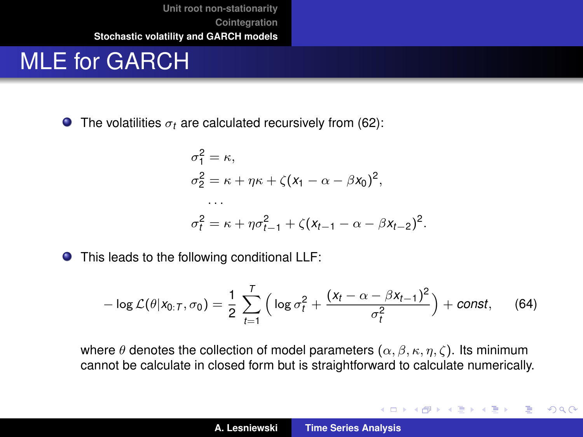#### MLE for GARCH

 $\bullet$  The volatilities  $\sigma_t$  are calculated recursively from [\(62\)](#page-45-0):

$$
\sigma_1^2 = \kappa,
$$
  
\n
$$
\sigma_2^2 = \kappa + \eta \kappa + \zeta (x_1 - \alpha - \beta x_0)^2,
$$
  
\n...  
\n
$$
\sigma_t^2 = \kappa + \eta \sigma_{t-1}^2 + \zeta (x_{t-1} - \alpha - \beta x_{t-2})^2.
$$

● This leads to the following conditional LLF:

$$
-\log\mathcal{L}(\theta|\mathsf{x}_{0:T},\sigma_0)=\frac{1}{2}\sum_{t=1}^T\Big(\log\sigma_t^2+\frac{(x_t-\alpha-\beta x_{t-1})^2}{\sigma_t^2}\Big)+const,
$$
 (64)

where  $\theta$  denotes the collection of model parameters  $(\alpha, \beta, \kappa, \eta, \zeta)$ . Its minimum cannot be calculate in closed form but is straightforward to calculate numerically.

K ロ ⊁ K 伊 ⊁ K 君 ⊁ K 君 ⊁ …

 $299$ 重。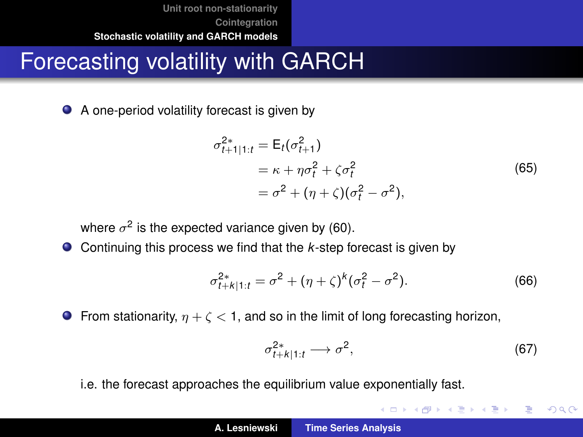# Forecasting volatility with GARCH

● A one-period volatility forecast is given by

$$
\sigma_{t+1|1:t}^{2*} = \mathsf{E}_{t}(\sigma_{t+1}^{2})
$$
  
=  $\kappa + \eta \sigma_{t}^{2} + \zeta \sigma_{t}^{2}$   
=  $\sigma^{2} + (\eta + \zeta)(\sigma_{t}^{2} - \sigma^{2}),$  (65)

where  $\sigma^2$  is the expected variance given by [\(60\)](#page-44-0).

● Continuing this process we find that the *k*-step forecast is given by

$$
\sigma_{t+k|1:t}^{2*} = \sigma^2 + (\eta + \zeta)^k (\sigma_t^2 - \sigma^2).
$$
 (66)

**From stationarity,**  $\eta + \zeta < 1$ , and so in the limit of long forecasting horizon,

$$
\sigma_{t+k|1:t}^{2*} \longrightarrow \sigma^2,\tag{67}
$$

**◆ロト ◆個 ▶ ◆ 夏 ▶ ◆ 夏 ▶** 

画

 $299$ 

i.e. the forecast approaches the equilibrium value exponentially fast.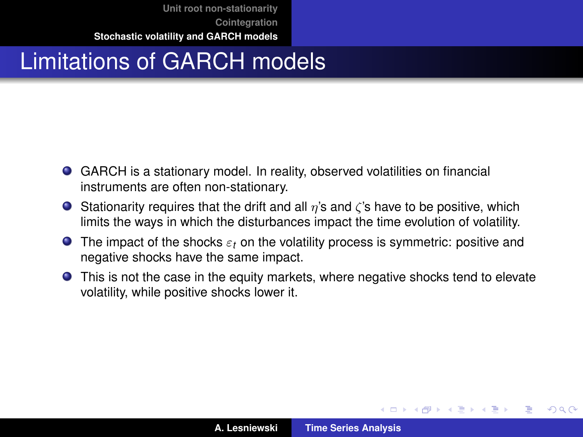# Limitations of GARCH models

- GARCH is a stationary model. In reality, observed volatilities on financial instruments are often non-stationary.
- **Stationarity requires that the drift and all**  $\eta$ **'s and**  $\zeta$ **'s have to be positive, which** limits the ways in which the disturbances impact the time evolution of volatility.
- The impact of the shocks ε*<sup>t</sup>* on the volatility process is symmetric: positive and negative shocks have the same impact.
- This is not the case in the equity markets, where negative shocks tend to elevate volatility, while positive shocks lower it.

(ロトス個) (運) (運)

Þ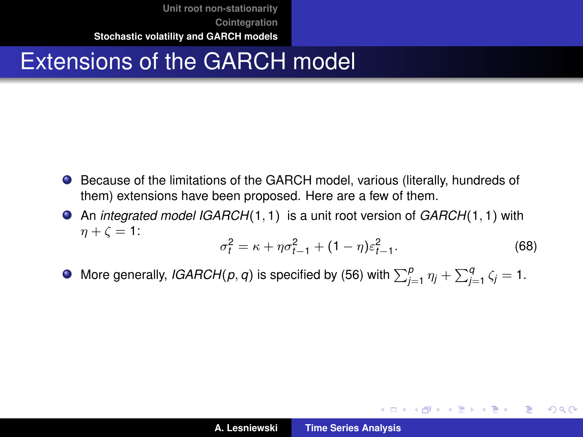# Extensions of the GARCH model

- **•** Because of the limitations of the GARCH model, various (literally, hundreds of them) extensions have been proposed. Here are a few of them.
- An *integrated model IGARCH*(1, 1) is a unit root version of *GARCH*(1, 1) with  $n + \zeta = 1$ :

$$
\sigma_t^2 = \kappa + \eta \sigma_{t-1}^2 + (1 - \eta) \varepsilon_{t-1}^2. \tag{68}
$$

イロメ イ団メ イヨメ イヨメー

 $2990$ ミー

More generally, *IGARCH*( $p, q$ ) is specified by [\(56\)](#page-42-0) with  $\sum_{j=1}^{p} \eta_j + \sum_{j=1}^{q} \zeta_j = 1.$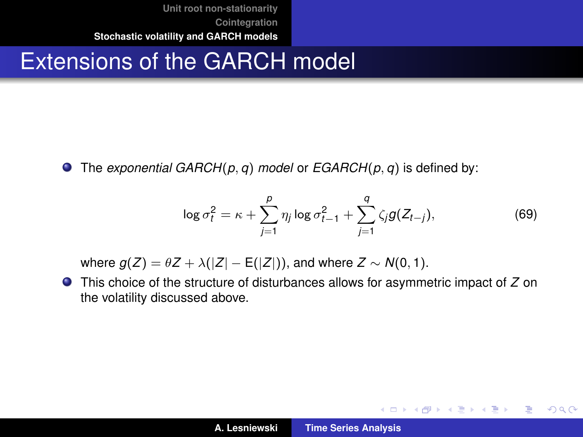# Extensions of the GARCH model

The *exponential GARCH*(*p*, *q*) *model* or *EGARCH*(*p*, *q*) is defined by:

$$
\log \sigma_t^2 = \kappa + \sum_{j=1}^p \eta_j \log \sigma_{t-1}^2 + \sum_{j=1}^q \zeta_j g(Z_{t-j}),
$$
 (69)

イロメ イ部メ イヨメ イヨメー

ミー  $298$ 

where  $g(Z) = \theta Z + \lambda(|Z| - \mathsf{E}(|Z|))$ , and where  $Z \sim N(0, 1)$ .

This choice of the structure of disturbances allows for asymmetric impact of *Z* on the volatility discussed above.